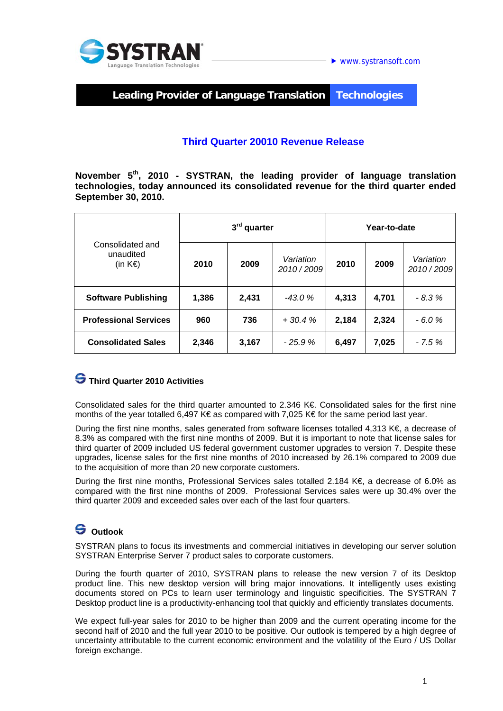



**Leading Provider of Language Translation Technologies** 

### **Third Quarter 20010 Revenue Release**

**November 5th, 2010 - SYSTRAN, the leading provider of language translation technologies, today announced its consolidated revenue for the third quarter ended September 30, 2010.** 

| Consolidated and<br>unaudited<br>(in K€) | $3rd$ quarter |       |                        | Year-to-date |       |                        |
|------------------------------------------|---------------|-------|------------------------|--------------|-------|------------------------|
|                                          | 2010          | 2009  | Variation<br>2010/2009 | 2010         | 2009  | Variation<br>2010/2009 |
| <b>Software Publishing</b>               | 1,386         | 2,431 | $-43.0%$               | 4,313        | 4,701 | $-8.3%$                |
| <b>Professional Services</b>             | 960           | 736   | $+30.4%$               | 2,184        | 2,324 | $-6.0%$                |
| <b>Consolidated Sales</b>                | 2,346         | 3,167 | $-25.9%$               | 6,497        | 7,025 | $-7.5%$                |

## **Third Quarter 2010 Activities**

Consolidated sales for the third quarter amounted to 2.346 K€. Consolidated sales for the first nine months of the year totalled 6,497 K€ as compared with 7,025 K€ for the same period last year.

During the first nine months, sales generated from software licenses totalled 4,313 K€, a decrease of 8.3% as compared with the first nine months of 2009. But it is important to note that license sales for third quarter of 2009 included US federal government customer upgrades to version 7. Despite these upgrades, license sales for the first nine months of 2010 increased by 26.1% compared to 2009 due to the acquisition of more than 20 new corporate customers.

During the first nine months, Professional Services sales totalled 2.184 K€, a decrease of 6.0% as compared with the first nine months of 2009. Professional Services sales were up 30.4% over the third quarter 2009 and exceeded sales over each of the last four quarters.

# **S** Outlook

SYSTRAN plans to focus its investments and commercial initiatives in developing our server solution SYSTRAN Enterprise Server 7 product sales to corporate customers.

During the fourth quarter of 2010, SYSTRAN plans to release the new version 7 of its Desktop product line. This new desktop version will bring major innovations. It intelligently uses existing documents stored on PCs to learn user terminology and linguistic specificities. The SYSTRAN 7 Desktop product line is a productivity-enhancing tool that quickly and efficiently translates documents.

We expect full-year sales for 2010 to be higher than 2009 and the current operating income for the second half of 2010 and the full year 2010 to be positive. Our outlook is tempered by a high degree of uncertainty attributable to the current economic environment and the volatility of the Euro / US Dollar foreign exchange.